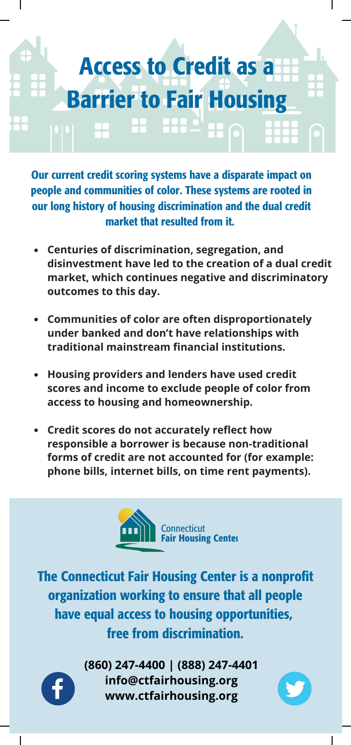## Access to Credit as a Barrier to Fair Housing

Our current credit scoring systems have a disparate impact on people and communities of color. These systems are rooted in our long history of housing discrimination and the dual credit market that resulted from it.

- **Centuries of discrimination, segregation, and disinvestment have led to the creation of a dual credit market, which continues negative and discriminatory outcomes to this day.**
- **Communities of color are often disproportionately under banked and don't have relationships with traditional mainstream financial institutions.**
- **Housing providers and lenders have used credit scores and income to exclude people of color from access to housing and homeownership.**
- **Credit scores do not accurately reflect how responsible a borrower is because non-traditional forms of credit are not accounted for (for example: phone bills, internet bills, on time rent payments).**



The Connecticut Fair Housing Center is a nonprofit organization working to ensure that all people have equal access to housing opportunities, free from discrimination.



**(860) 247-4400 | (888) 247-4401 info@ctfairhousing.org www.ctfairhousing.org**